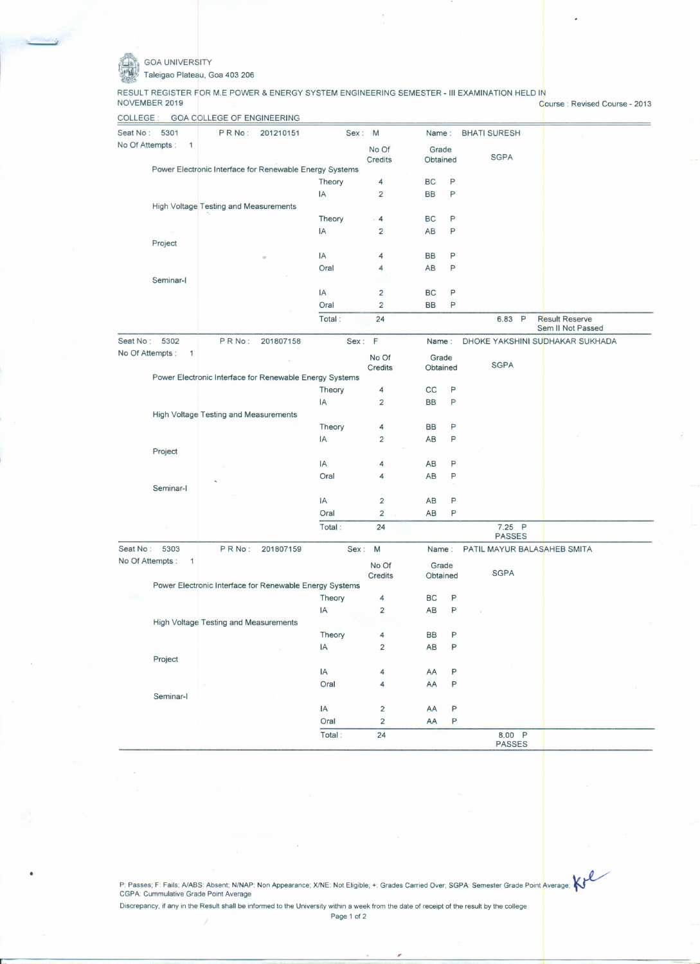·~

•

GOA UNIVERSITY

Taleigao Plateau, Goa 403206

RESULT REGISTER FOR M.E POWER & ENERGY SYSTEM ENGINEERING SEMESTER - III EXAMINATION HELD IN

Course: Revised Course - 2013

| COLLEGE                          | <b>GOA COLLEGE OF ENGINEERING</b>                       |           |        |                         |           |                         |                                            |  |
|----------------------------------|---------------------------------------------------------|-----------|--------|-------------------------|-----------|-------------------------|--------------------------------------------|--|
| Seat No:<br>5301                 | PRNo:                                                   | 201210151 |        | Sex: M                  | Name:     | <b>BHATI SURESH</b>     |                                            |  |
| No Of Attempts:<br>1             |                                                         |           |        | No Of                   | Grade     |                         |                                            |  |
|                                  |                                                         |           |        | <b>Credits</b>          | Obtained  | <b>SGPA</b>             |                                            |  |
|                                  | Power Electronic Interface for Renewable Energy Systems |           |        |                         |           |                         |                                            |  |
|                                  |                                                         |           | Theory | 4                       | BC        | P                       |                                            |  |
|                                  |                                                         |           | IA     | $\overline{2}$          | <b>BB</b> | P                       |                                            |  |
|                                  | High Voltage Testing and Measurements                   |           |        |                         |           |                         |                                            |  |
|                                  |                                                         |           | Theory | $\overline{4}$          | BC        | P                       |                                            |  |
|                                  |                                                         |           | IA     | $\overline{2}$          | AB        | P                       |                                            |  |
| Project                          |                                                         |           |        |                         |           |                         |                                            |  |
|                                  |                                                         |           | IA     | 4                       | <b>BB</b> | P                       |                                            |  |
|                                  |                                                         |           | Oral   | 4                       | AB        | P                       |                                            |  |
| Seminar-I                        |                                                         |           |        |                         |           |                         |                                            |  |
|                                  |                                                         |           | IA     | 2                       | <b>BC</b> | P                       |                                            |  |
|                                  |                                                         |           | Oral   | $\overline{2}$          | <b>BB</b> | P                       |                                            |  |
|                                  |                                                         |           | Total: | 24                      |           | 6.83 P                  | <b>Result Reserve</b><br>Sem II Not Passed |  |
| Seat No:<br>5302                 | PRNo:                                                   | 201807158 |        | Sex: F                  | Name:     |                         | DHOKE YAKSHINI SUDHAKAR SUKHADA            |  |
| No Of Attempts :<br>$\mathbf{1}$ |                                                         |           |        | No Of                   | Grade     |                         |                                            |  |
|                                  |                                                         |           |        | Credits                 | Obtained  | <b>SGPA</b>             |                                            |  |
|                                  | Power Electronic Interface for Renewable Energy Systems |           |        |                         |           |                         |                                            |  |
|                                  |                                                         |           | Theory | 4                       | cc        | P                       |                                            |  |
|                                  |                                                         |           | IA     | $\overline{2}$          | <b>BB</b> | P                       |                                            |  |
|                                  | High Voltage Testing and Measurements                   |           |        |                         |           |                         |                                            |  |
|                                  |                                                         |           | Theory | 4                       | <b>BB</b> | P                       |                                            |  |
|                                  |                                                         |           | IA     | $\overline{2}$          | AB        | P                       |                                            |  |
| Project                          |                                                         |           |        |                         |           |                         |                                            |  |
|                                  |                                                         |           | IA     | 4                       | AB        | P                       |                                            |  |
|                                  |                                                         |           | Oral   | 4                       | AB        | P                       |                                            |  |
| Seminar-I                        |                                                         |           |        |                         |           |                         |                                            |  |
|                                  |                                                         |           | IA     | $\overline{\mathbf{c}}$ | AB        | P                       |                                            |  |
|                                  |                                                         |           | Oral   | $\overline{2}$          | AB        | P                       |                                            |  |
|                                  |                                                         |           | Total: | 24                      |           | 7.25 P<br><b>PASSES</b> |                                            |  |
| Seat No:<br>5303                 | PRNo:                                                   | 201807159 |        | Sex: M                  | Name:     |                         | PATIL MAYUR BALASAHEB SMITA                |  |
| No Of Attempts:<br>1             |                                                         |           |        | No Of                   | Grade     |                         |                                            |  |
|                                  |                                                         |           |        | Credits                 | Obtained  | <b>SGPA</b>             |                                            |  |
|                                  | Power Electronic Interface for Renewable Energy Systems |           |        |                         |           |                         |                                            |  |
|                                  |                                                         |           | Theory | 4                       | BC        | P                       |                                            |  |
|                                  |                                                         |           | IA     | $\overline{2}$          | AB        | P                       |                                            |  |
|                                  | High Voltage Testing and Measurements                   |           |        |                         |           |                         |                                            |  |
|                                  |                                                         |           | Theory | $\overline{4}$          | BB        | P                       |                                            |  |
|                                  |                                                         |           | IA     | $\overline{2}$          | AB        | P                       |                                            |  |
| Project                          |                                                         |           |        |                         |           |                         |                                            |  |
|                                  |                                                         |           | IA     | $\overline{\mathbf{4}}$ | AA        | P                       |                                            |  |
|                                  |                                                         |           | Oral   | 4                       | AA        | P                       |                                            |  |
| Seminar-I                        |                                                         |           |        |                         |           |                         |                                            |  |
|                                  |                                                         |           | IA     | $\overline{\mathbf{c}}$ | AA        | P                       |                                            |  |
|                                  |                                                         |           | Oral   | $\overline{a}$          | AA        | P                       |                                            |  |
|                                  |                                                         |           | Total: | 24                      |           | 8.00 P<br><b>PASSES</b> |                                            |  |
|                                  |                                                         |           |        |                         |           |                         |                                            |  |

P: Passes; F: Fails; A/ABS: Absent; N/NAP: Non Appearance; X/NE: Not Eligible; +: Grades Carried Over; SGPA: Semester Grade Point Average; I<br>CGPA: Cummulative Grade Point Average

Discrepancy, if any in the Result shall be informed to the University within a week from the date of receipt of the result by the college

".